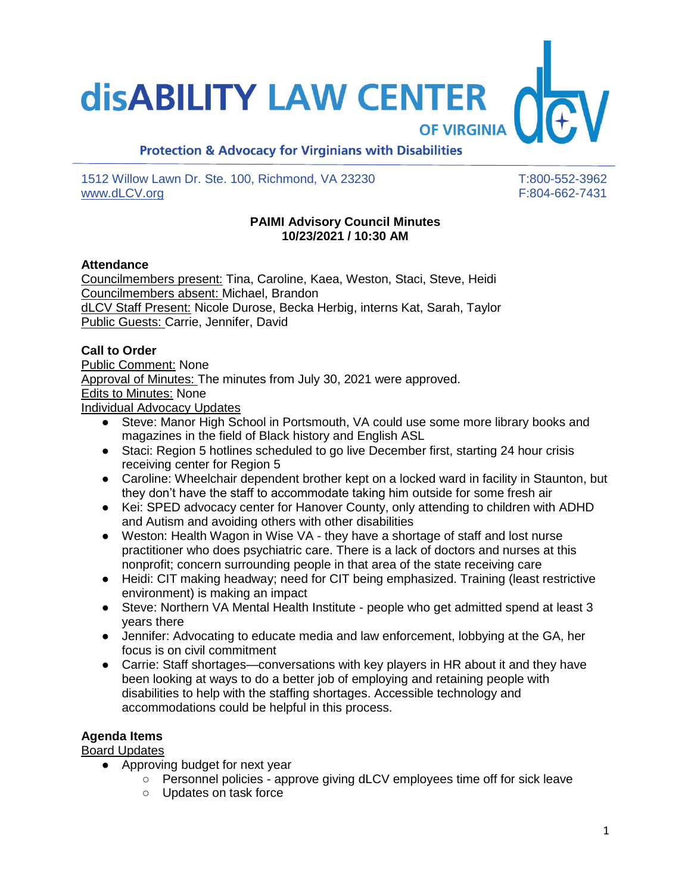# **disABILITY LAW CENTER**

**OF VIRGINIA** 

## **Protection & Advocacy for Virginians with Disabilities**

1512 Willow Lawn Dr. Ste. 100, Richmond, VA 23230 T:800-552-3962 [www.dLCV.org](http://www.dlcv.org/) F:804-662-7431

#### **PAIMI Advisory Council Minutes 10/23/2021 / 10:30 AM**

#### **Attendance**

Councilmembers present: Tina, Caroline, Kaea, Weston, Staci, Steve, Heidi Councilmembers absent: Michael, Brandon dLCV Staff Present: Nicole Durose, Becka Herbig, interns Kat, Sarah, Taylor Public Guests: Carrie, Jennifer, David

#### **Call to Order**

Public Comment: None Approval of Minutes: The minutes from July 30, 2021 were approved. Edits to Minutes: None Individual Advocacy Updates

- Steve: Manor High School in Portsmouth, VA could use some more library books and magazines in the field of Black history and English ASL
- Staci: Region 5 hotlines scheduled to go live December first, starting 24 hour crisis receiving center for Region 5
- Caroline: Wheelchair dependent brother kept on a locked ward in facility in Staunton, but they don't have the staff to accommodate taking him outside for some fresh air
- Kei: SPED advocacy center for Hanover County, only attending to children with ADHD and Autism and avoiding others with other disabilities
- Weston: Health Wagon in Wise VA they have a shortage of staff and lost nurse practitioner who does psychiatric care. There is a lack of doctors and nurses at this nonprofit; concern surrounding people in that area of the state receiving care
- Heidi: CIT making headway; need for CIT being emphasized. Training (least restrictive environment) is making an impact
- Steve: Northern VA Mental Health Institute people who get admitted spend at least 3 years there
- Jennifer: Advocating to educate media and law enforcement, lobbying at the GA, her focus is on civil commitment
- Carrie: Staff shortages—conversations with key players in HR about it and they have been looking at ways to do a better job of employing and retaining people with disabilities to help with the staffing shortages. Accessible technology and accommodations could be helpful in this process.

#### **Agenda Items**

Board Updates

- Approving budget for next year
	- Personnel policies approve giving dLCV employees time off for sick leave
	- Updates on task force